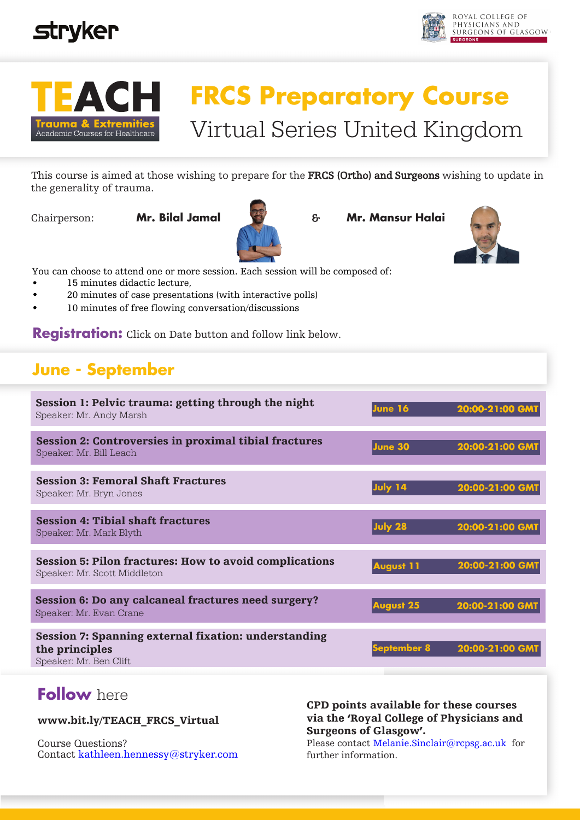





# **FRCS Preparatory Course**  Virtual Series United Kingdom

This course is aimed at those wishing to prepare for the **FRCS (Ortho) and Surgeons** wishing to update in the generality of trauma.



Chairperson: **Mr. Bilal Jamal** & **Mr. Mansur Halai**



an choose to attend one or m<br>15 minutes didactic lectur You can choose to attend one or more session. Each session will be composed of:

- 15 minutes didactic lecture,
- 20 minutes of case presentations (with interactive polls)
- 10 minutes of free flowing conversation/discussions

**Registration:** Click on Date button and follow link below.

## **June - September**

| Session 1: Pelvic trauma: getting through the night<br>Speaker: Mr. Andy Marsh                   | June 16          | 20:00-21:00 GM1 |
|--------------------------------------------------------------------------------------------------|------------------|-----------------|
| <b>Session 2: Controversies in proximal tibial fractures</b><br>Speaker: Mr. Bill Leach          | June 30          | 20:00-21:00 GMT |
| <b>Session 3: Femoral Shaft Fractures</b><br>Speaker: Mr. Bryn Jones                             | July 14          | 20:00-21:00 GM1 |
| <b>Session 4: Tibial shaft fractures</b><br>Speaker: Mr. Mark Blyth                              | July 28          | 20:00-21:00 GMT |
| <b>Session 5: Pilon fractures: How to avoid complications</b><br>Speaker: Mr. Scott Middleton    | <b>August 11</b> | 20:00-21:00 GM  |
| Session 6: Do any calcaneal fractures need surgery?<br>Speaker: Mr. Evan Crane                   | <b>August 25</b> | 20:00-21:00 GM1 |
| Session 7: Spanning external fixation: understanding<br>the principles<br>Speaker: Mr. Ben Clift |                  | 20:00-21:00 GM1 |

### **Follow** here

www.bit.ly/TEACH\_FRCS\_Virtual

Course Questions? Contact kathleen.hennessy@stryker.com

### CPD points available for these courses via the 'Royal College of Physicians and Surgeons of Glasgow'.

Please contact Melanie.Sinclair@rcpsg.ac.uk for further information.